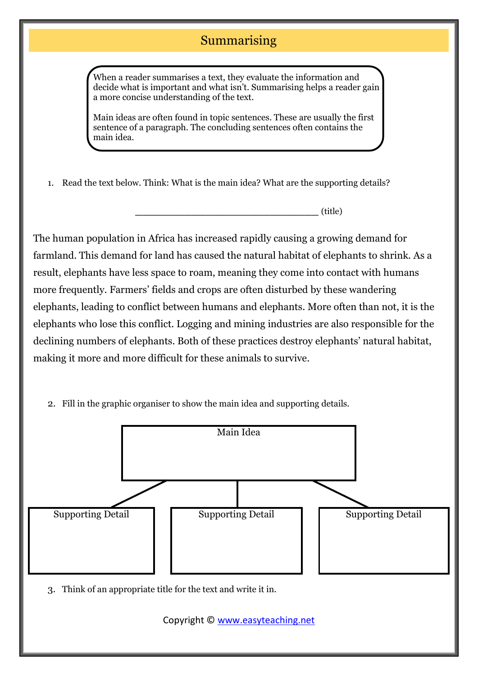## Summarising

When a reader summarises a text, they evaluate the information and decide what is important and what isn't. Summarising helps a reader gain a more concise understanding of the text.

Main ideas are often found in topic sentences. These are usually the first sentence of a paragraph. The concluding sentences often contains the main idea.

1. Read the text below. Think: What is the main idea? What are the supporting details?

**\_\_\_\_\_\_\_\_\_\_\_\_\_\_\_\_\_\_\_\_\_\_\_\_\_\_** (title)

The human population in Africa has increased rapidly causing a growing demand for farmland. This demand for land has caused the natural habitat of elephants to shrink. As a result, elephants have less space to roam, meaning they come into contact with humans more frequently. Farmers' fields and crops are often disturbed by these wandering elephants, leading to conflict between humans and elephants. More often than not, it is the elephants who lose this conflict. Logging and mining industries are also responsible for the declining numbers of elephants. Both of these practices destroy elephants' natural habitat, making it more and more difficult for these animals to survive.

2. Fill in the graphic organiser to show the main idea and supporting details.



Copyright © [www.easyteaching.net](http://www.easyteaching.net/)